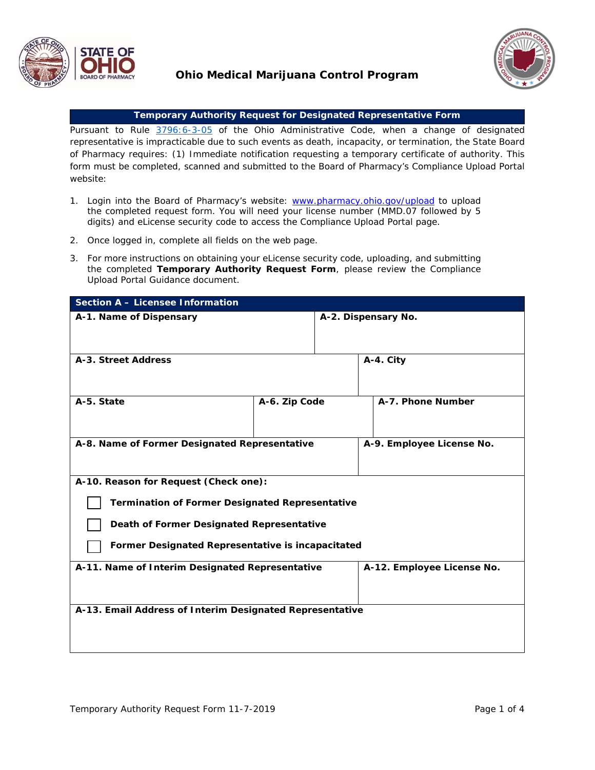

## **Ohio Medical Marijuana Control Program**



## **Temporary Authority Request for Designated Representative Form**

Pursuant to Rule [3796:6-3-05](http://codes.ohio.gov/oac/3796:6-3-05v1) of the Ohio Administrative Code, when a change of designated representative is impracticable due to such events as death, incapacity, or termination, the State Board of Pharmacy requires: (1) Immediate notification requesting a temporary certificate of authority. This form must be completed, scanned and submitted to the Board of Pharmacy's Compliance Upload Portal website:

- 1. Login into the Board of Pharmacy's website: www.pharmacy.ohio.gov/upload to upload the completed request form. You will need your license number (MMD.07 followed by 5 digits) and eLicense security code to access the Compliance Upload Portal page.
- 2. Once logged in, complete all fields on the web page.
- 3. For more instructions on obtaining your eLicense security code, uploading, and submitting the completed **Temporary Authority Request Form**, please review the Compliance Upload Portal Guidance document.

| <b>Section A - Licensee Information</b>                  |               |                     |                            |
|----------------------------------------------------------|---------------|---------------------|----------------------------|
| A-1. Name of Dispensary                                  |               | A-2. Dispensary No. |                            |
| A-3. Street Address                                      |               |                     | A-4. City                  |
| A-5. State                                               | A-6. Zip Code |                     | A-7. Phone Number          |
| A-8. Name of Former Designated Representative            |               |                     | A-9. Employee License No.  |
| A-10. Reason for Request (Check one):                    |               |                     |                            |
| <b>Termination of Former Designated Representative</b>   |               |                     |                            |
| Death of Former Designated Representative                |               |                     |                            |
| Former Designated Representative is incapacitated        |               |                     |                            |
| A-11. Name of Interim Designated Representative          |               |                     | A-12. Employee License No. |
| A-13. Email Address of Interim Designated Representative |               |                     |                            |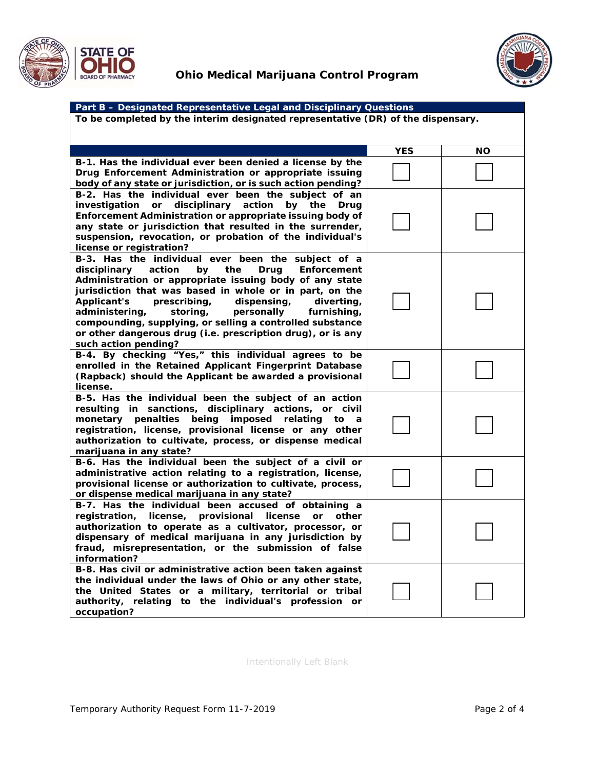



| Part B - Designated Representative Legal and Disciplinary Questions              |            |    |  |  |
|----------------------------------------------------------------------------------|------------|----|--|--|
| To be completed by the interim designated representative (DR) of the dispensary. |            |    |  |  |
|                                                                                  |            |    |  |  |
|                                                                                  |            |    |  |  |
|                                                                                  | <b>YES</b> | NΟ |  |  |
| B-1. Has the individual ever been denied a license by the                        |            |    |  |  |
| Drug Enforcement Administration or appropriate issuing                           |            |    |  |  |
| body of any state or jurisdiction, or is such action pending?                    |            |    |  |  |
| B-2. Has the individual ever been the subject of an                              |            |    |  |  |
| investigation or disciplinary action<br>by the<br>Drug                           |            |    |  |  |
| Enforcement Administration or appropriate issuing body of                        |            |    |  |  |
| any state or jurisdiction that resulted in the surrender,                        |            |    |  |  |
| suspension, revocation, or probation of the individual's                         |            |    |  |  |
| license or registration?                                                         |            |    |  |  |
| B-3. Has the individual ever been the subject of a                               |            |    |  |  |
| disciplinary<br>action<br>the<br>Enforcement<br>by<br>Drug                       |            |    |  |  |
| Administration or appropriate issuing body of any state                          |            |    |  |  |
| jurisdiction that was based in whole or in part, on the                          |            |    |  |  |
| <b>Applicant's</b><br>prescribing,<br>dispensing,<br>diverting,                  |            |    |  |  |
| administering,<br>storing,<br>personally<br>furnishing,                          |            |    |  |  |
| compounding, supplying, or selling a controlled substance                        |            |    |  |  |
| or other dangerous drug (i.e. prescription drug), or is any                      |            |    |  |  |
| such action pending?                                                             |            |    |  |  |
| B-4. By checking "Yes," this individual agrees to be                             |            |    |  |  |
| enrolled in the Retained Applicant Fingerprint Database                          |            |    |  |  |
| (Rapback) should the Applicant be awarded a provisional                          |            |    |  |  |
| license.                                                                         |            |    |  |  |
| B-5. Has the individual been the subject of an action                            |            |    |  |  |
| resulting in sanctions, disciplinary actions, or civil                           |            |    |  |  |
| monetary penalties<br>imposed<br>being<br>relating<br>to<br>a                    |            |    |  |  |
| registration, license, provisional license or any other                          |            |    |  |  |
| authorization to cultivate, process, or dispense medical                         |            |    |  |  |
| marijuana in any state?                                                          |            |    |  |  |
| B-6. Has the individual been the subject of a civil or                           |            |    |  |  |
| administrative action relating to a registration, license,                       |            |    |  |  |
| provisional license or authorization to cultivate, process,                      |            |    |  |  |
| or dispense medical marijuana in any state?                                      |            |    |  |  |
| B-7. Has the individual been accused of obtaining a                              |            |    |  |  |
| license, provisional<br>registration,<br>license<br>or<br>other                  |            |    |  |  |
| authorization to operate as a cultivator, processor, or                          |            |    |  |  |
| dispensary of medical marijuana in any jurisdiction by                           |            |    |  |  |
| fraud, misrepresentation, or the submission of false                             |            |    |  |  |
| information?                                                                     |            |    |  |  |
| B-8. Has civil or administrative action been taken against                       |            |    |  |  |
| the individual under the laws of Ohio or any other state,                        |            |    |  |  |
| the United States or a military, territorial or tribal                           |            |    |  |  |
| authority, relating to the individual's profession or                            |            |    |  |  |
| occupation?                                                                      |            |    |  |  |

Intentionally Left Blank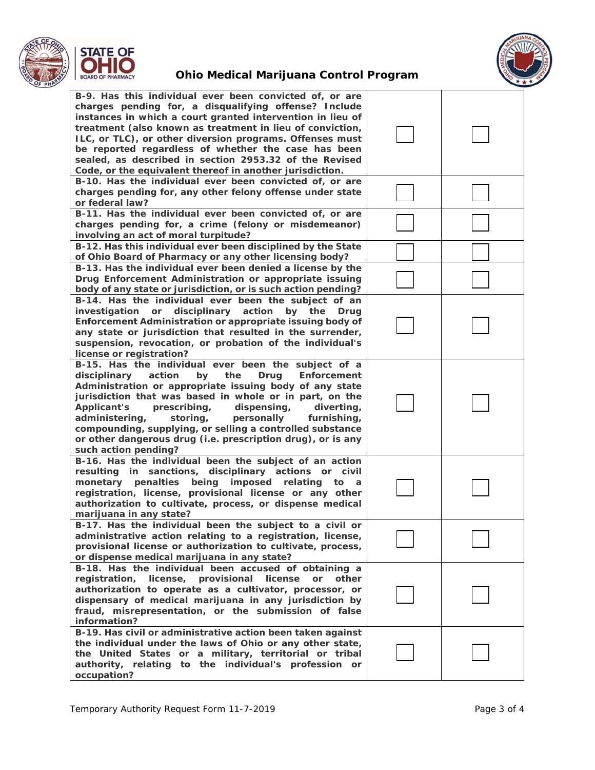

## **Ohio Medical Marijuana Control Program**



| B-9. Has this individual ever been convicted of, or are<br>charges pending for, a disqualifying offense? Include<br>instances in which a court granted intervention in lieu of<br>treatment (also known as treatment in lieu of conviction,<br>ILC, or TLC), or other diversion programs. Offenses must<br>be reported regardless of whether the case has been<br>sealed, as described in section 2953.32 of the Revised<br>Code, or the equivalent thereof in another jurisdiction.                                      |  |
|---------------------------------------------------------------------------------------------------------------------------------------------------------------------------------------------------------------------------------------------------------------------------------------------------------------------------------------------------------------------------------------------------------------------------------------------------------------------------------------------------------------------------|--|
| B-10. Has the individual ever been convicted of, or are<br>charges pending for, any other felony offense under state<br>or federal law?                                                                                                                                                                                                                                                                                                                                                                                   |  |
| B-11. Has the individual ever been convicted of, or are<br>charges pending for, a crime (felony or misdemeanor)<br>involving an act of moral turpitude?                                                                                                                                                                                                                                                                                                                                                                   |  |
| B-12. Has this individual ever been disciplined by the State<br>of Ohio Board of Pharmacy or any other licensing body?                                                                                                                                                                                                                                                                                                                                                                                                    |  |
| B-13. Has the individual ever been denied a license by the<br>Drug Enforcement Administration or appropriate issuing<br>body of any state or jurisdiction, or is such action pending?                                                                                                                                                                                                                                                                                                                                     |  |
| B-14. Has the individual ever been the subject of an<br>investigation or disciplinary action<br>by the<br>Drug<br>Enforcement Administration or appropriate issuing body of<br>any state or jurisdiction that resulted in the surrender,<br>suspension, revocation, or probation of the individual's<br>license or registration?                                                                                                                                                                                          |  |
| B-15. Has the individual ever been the subject of a<br>disciplinary<br>action<br>by<br>the<br>Enforcement<br>Drug<br>Administration or appropriate issuing body of any state<br>jurisdiction that was based in whole or in part, on the<br><b>Applicant's</b><br>prescribing,<br>dispensing,<br>diverting,<br>administering,<br>storing,<br>personally<br>furnishing,<br>compounding, supplying, or selling a controlled substance<br>or other dangerous drug (i.e. prescription drug), or is any<br>such action pending? |  |
| B-16. Has the individual been the subject of an action<br>resulting in sanctions, disciplinary actions or civil<br>monetary penalties<br>being imposed relating<br>to<br>a<br>registration, license, provisional license or any other<br>authorization to cultivate, process, or dispense medical<br>marijuana in any state?                                                                                                                                                                                              |  |
| B-17. Has the individual been the subject to a civil or<br>administrative action relating to a registration, license,<br>provisional license or authorization to cultivate, process,<br>or dispense medical marijuana in any state?                                                                                                                                                                                                                                                                                       |  |
| B-18. Has the individual been accused of obtaining a<br>registration, license, provisional<br>license<br>or<br>other<br>authorization to operate as a cultivator, processor, or<br>dispensary of medical marijuana in any jurisdiction by<br>fraud, misrepresentation, or the submission of false<br>information?                                                                                                                                                                                                         |  |
| B-19. Has civil or administrative action been taken against<br>the individual under the laws of Ohio or any other state,<br>the United States or a military, territorial or tribal<br>authority, relating to the individual's profession or<br>occupation?                                                                                                                                                                                                                                                                |  |